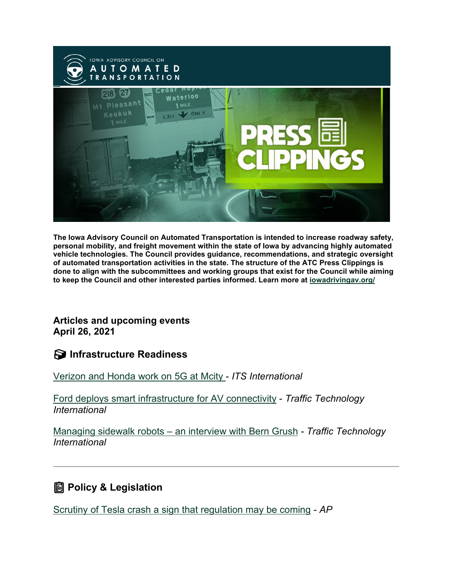

**The Iowa Advisory Council on Automated Transportation is intended to increase roadway safety, personal mobility, and freight movement within the state of Iowa by advancing highly automated vehicle technologies. The Council provides guidance, recommendations, and strategic oversight of automated transportation activities in the state. The structure of the ATC Press Clippings is done to align with the subcommittees and working groups that exist for the Council while aiming to keep the Council and other interested parties informed. Learn more at [iowadrivingav.org/](https://iowadrivingav.org/?utm_medium=email&utm_source=govdelivery)**

**Articles and upcoming events April 26, 2021**

**S** Infrastructure Readiness

[Verizon and Honda work on 5G at Mcity](https://www.itsinternational.com/its7/news/verizon-and-honda-work-5g-mcity?utm_medium=email&utm_source=govdelivery) - *ITS International*

[Ford deploys smart infrastructure for AV connectivity](https://www.traffictechnologytoday.com/news/connected-vehicles-infrastructure/video-ford-deploys-smart-infrastructure-for-av-connectivity.html?utm_medium=email&utm_source=govdelivery) - *Traffic Technology International*

Managing sidewalk robots – [an interview with Bern Grush](https://www.traffictechnologytoday.com/podcast/podcast-12-managing-sidewalk-robots-an-interview-with-bern-grush.html?utm_medium=email&utm_source=govdelivery) *- Traffic Technology International*

## **Policy & Legislation**

[Scrutiny of Tesla crash a sign that regulation may be coming](https://apnews.com/article/technology-houston-texas-280521ffcddd7b8d63a15c9d99fc2add?utm_medium=email&utm_source=govdelivery) *- AP*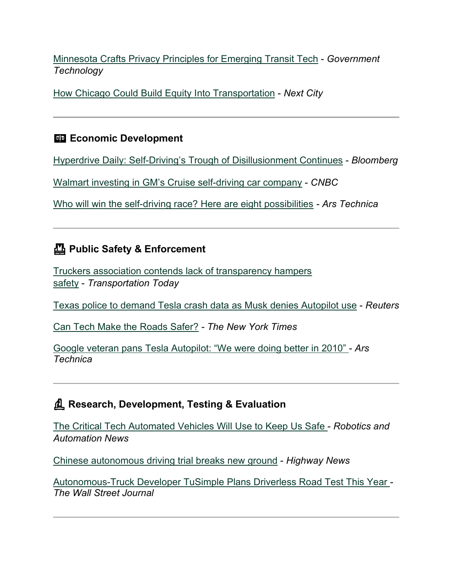[Minnesota Crafts Privacy Principles for Emerging Transit Tech](https://www.govtech.com/policy/Minnesota-Crafts-Privacy-Principles-for-Emerging-Transit-Tech.html?utm_medium=email&utm_source=govdelivery) - *Government Technology*

[How Chicago Could Build Equity Into Transportation](https://nextcity.org/daily/entry/how-chicago-could-build-equity-into-transportation?utm_medium=email&utm_source=govdelivery) - *Next City*

### **Example 2** Economic Development

[Hyperdrive Daily: Self-Driving's Trough of Disillusionment Continues](https://www.bloomberg.com/news/newsletters/2021-04-14/hyperdrive-daily-self-driving-s-trough-of-disillusionment-continues?utm_medium=email&utm_source=govdelivery) - *Bloomberg*

[Walmart investing in GM's Cruise self-driving car company](https://www.cnbc.com/2021/04/15/walmart-investing-in-gms-cruise-self-driving-car-company.html?utm_medium=email&utm_source=govdelivery) - *CNBC*

[Who will win the self-driving race? Here are eight possibilities](https://arstechnica.com/cars/2021/04/who-will-win-the-self-driving-race-here-are-8-possibilities/?utm_medium=email&utm_source=govdelivery) *- Ars Technica*

### **Public Safety & Enforcement**

[Truckers association contends lack of transparency hampers](https://transportationtodaynews.com/news/22168-truckers-association-contends-lack-of-transparency-hampers-safety/?utm_medium=email&utm_source=govdelivery)  [safety](https://transportationtodaynews.com/news/22168-truckers-association-contends-lack-of-transparency-hampers-safety/?utm_medium=email&utm_source=govdelivery) - *Transportation Today*

[Texas police to demand Tesla crash data as Musk denies Autopilot use](https://www.reuters.com/business/autos-transportation/us-probes-fatal-tesla-crash-believed-be-driverless-2021-04-19/?utm_medium=email&utm_source=govdelivery) - *Reuters*

[Can Tech Make the Roads](https://www.nytimes.com/2021/04/19/technology/tech-road-safety.html?utm_medium=email&utm_source=govdelivery) Safer? *- The New York Times*

[Google veteran pans Tesla Autopilot: "We were doing better in 2010"](https://arstechnica.com/cars/2021/04/the-largest-independent-self-driving-startup-is-under-a-lot-of-pressure/?utm_medium=email&utm_source=govdelivery) *- Ars Technica*

### **Research, Development, Testing & Evaluation**

[The Critical Tech Automated Vehicles Will Use to Keep Us Safe](https://roboticsandautomationnews.com/2021/04/15/the-critical-tech-automated-vehicles-will-use-to-keep-us-safe/42324/?utm_medium=email&utm_source=govdelivery) - *Robotics and Automation News*

[Chinese autonomous driving trial breaks new ground](https://highways-news.com/chinese-autonomous-driving-trial-breaks-new-ground/?utm_medium=email&utm_source=govdelivery) - *Highway News*

[Autonomous-Truck Developer TuSimple Plans Driverless Road Test This Year](https://www.wsj.com/articles/autonomous-truck-developer-tusimple-plans-driverless-road-test-this-year-11618528979?utm_medium=email&utm_source=govdelivery) *- The Wall Street Journal*